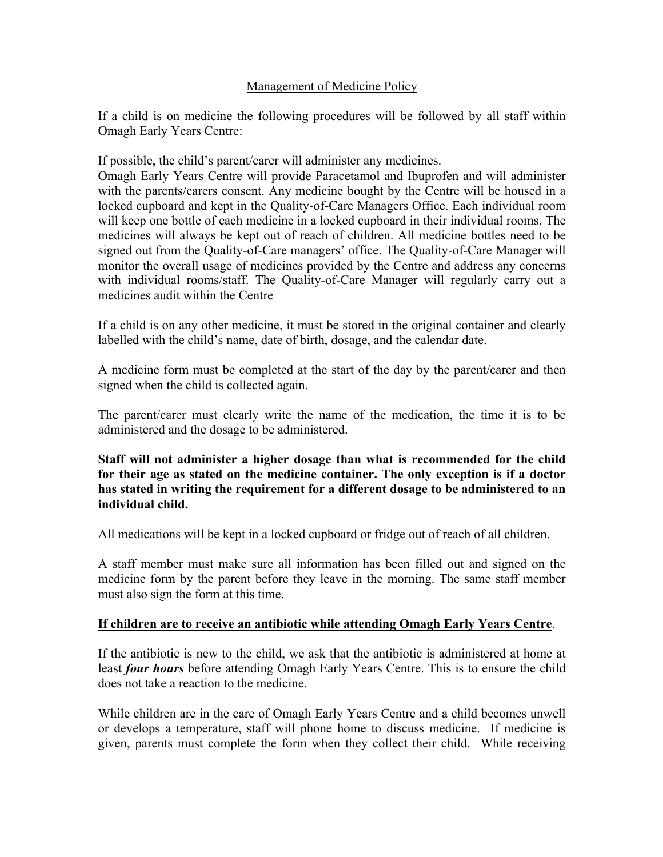### Management of Medicine Policy

If a child is on medicine the following procedures will be followed by all staff within Omagh Early Years Centre:

If possible, the child's parent/carer will administer any medicines.

Omagh Early Years Centre will provide Paracetamol and Ibuprofen and will administer with the parents/carers consent. Any medicine bought by the Centre will be housed in a locked cupboard and kept in the Quality-of-Care Managers Office. Each individual room will keep one bottle of each medicine in a locked cupboard in their individual rooms. The medicines will always be kept out of reach of children. All medicine bottles need to be signed out from the Quality-of-Care managers' office. The Quality-of-Care Manager will monitor the overall usage of medicines provided by the Centre and address any concerns with individual rooms/staff. The Quality-of-Care Manager will regularly carry out a medicines audit within the Centre

If a child is on any other medicine, it must be stored in the original container and clearly labelled with the child's name, date of birth, dosage, and the calendar date.

A medicine form must be completed at the start of the day by the parent/carer and then signed when the child is collected again.

The parent/carer must clearly write the name of the medication, the time it is to be administered and the dosage to be administered.

**Staff will not administer a higher dosage than what is recommended for the child for their age as stated on the medicine container. The only exception is if a doctor has stated in writing the requirement for a different dosage to be administered to an individual child.**

All medications will be kept in a locked cupboard or fridge out of reach of all children.

A staff member must make sure all information has been filled out and signed on the medicine form by the parent before they leave in the morning. The same staff member must also sign the form at this time.

### **If children are to receive an antibiotic while attending Omagh Early Years Centre**.

If the antibiotic is new to the child, we ask that the antibiotic is administered at home at least *four hours* before attending Omagh Early Years Centre. This is to ensure the child does not take a reaction to the medicine.

While children are in the care of Omagh Early Years Centre and a child becomes unwell or develops a temperature, staff will phone home to discuss medicine. If medicine is given, parents must complete the form when they collect their child. While receiving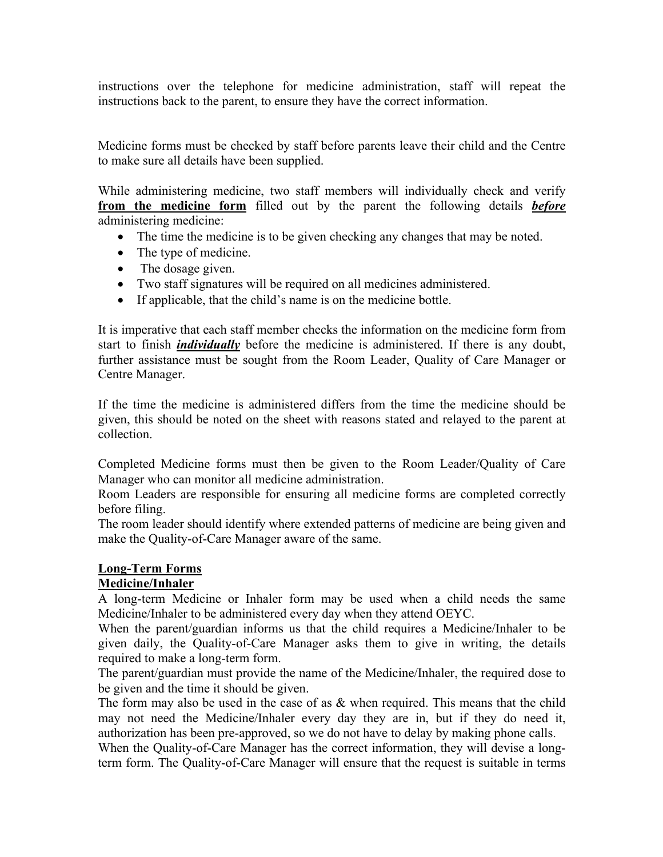instructions over the telephone for medicine administration, staff will repeat the instructions back to the parent, to ensure they have the correct information.

Medicine forms must be checked by staff before parents leave their child and the Centre to make sure all details have been supplied.

While administering medicine, two staff members will individually check and verify **from the medicine form** filled out by the parent the following details *before*  administering medicine:

- The time the medicine is to be given checking any changes that may be noted.
- The type of medicine.
- The dosage given.
- Two staff signatures will be required on all medicines administered.
- If applicable, that the child's name is on the medicine bottle.

It is imperative that each staff member checks the information on the medicine form from start to finish *individually* before the medicine is administered. If there is any doubt, further assistance must be sought from the Room Leader, Quality of Care Manager or Centre Manager.

If the time the medicine is administered differs from the time the medicine should be given, this should be noted on the sheet with reasons stated and relayed to the parent at collection.

Completed Medicine forms must then be given to the Room Leader/Quality of Care Manager who can monitor all medicine administration.

Room Leaders are responsible for ensuring all medicine forms are completed correctly before filing.

The room leader should identify where extended patterns of medicine are being given and make the Quality-of-Care Manager aware of the same.

# **Long-Term Forms**

## **Medicine/Inhaler**

A long-term Medicine or Inhaler form may be used when a child needs the same Medicine/Inhaler to be administered every day when they attend OEYC.

When the parent/guardian informs us that the child requires a Medicine/Inhaler to be given daily, the Quality-of-Care Manager asks them to give in writing, the details required to make a long-term form.

The parent/guardian must provide the name of the Medicine/Inhaler, the required dose to be given and the time it should be given.

The form may also be used in the case of as & when required. This means that the child may not need the Medicine/Inhaler every day they are in, but if they do need it, authorization has been pre-approved, so we do not have to delay by making phone calls.

When the Quality-of-Care Manager has the correct information, they will devise a longterm form. The Quality-of-Care Manager will ensure that the request is suitable in terms